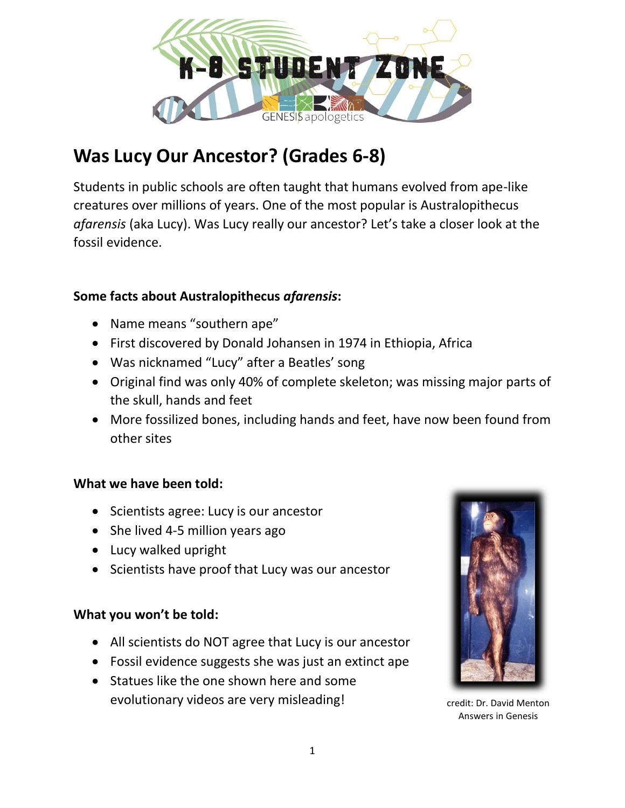

# **Was Lucy Our Ancestor? (Grades 6-8)**

Students in public schools are often taught that humans evolved from ape-like creatures over millions of years. One of the most popular is Australopithecus *afarensis* (aka Lucy). Was Lucy really our ancestor? Let's take a closer look at the fossil evidence.

# **Some facts about Australopithecus** *afarensis***:**

- Name means "southern ape"
- First discovered by Donald Johansen in 1974 in Ethiopia, Africa
- Was nicknamed "Lucy" after a Beatles' song
- Original find was only 40% of complete skeleton; was missing major parts of the skull, hands and feet
- More fossilized bones, including hands and feet, have now been found from other sites

### **What we have been told:**

- Scientists agree: Lucy is our ancestor
- She lived 4-5 million years ago
- Lucy walked upright
- Scientists have proof that Lucy was our ancestor

### **What you won't be told:**

- All scientists do NOT agree that Lucy is our ancestor
- Fossil evidence suggests she was just an extinct ape
- Statues like the one shown here and some evolutionary videos are very misleading! evolutionary videos are very misleading!



Answers in Genesis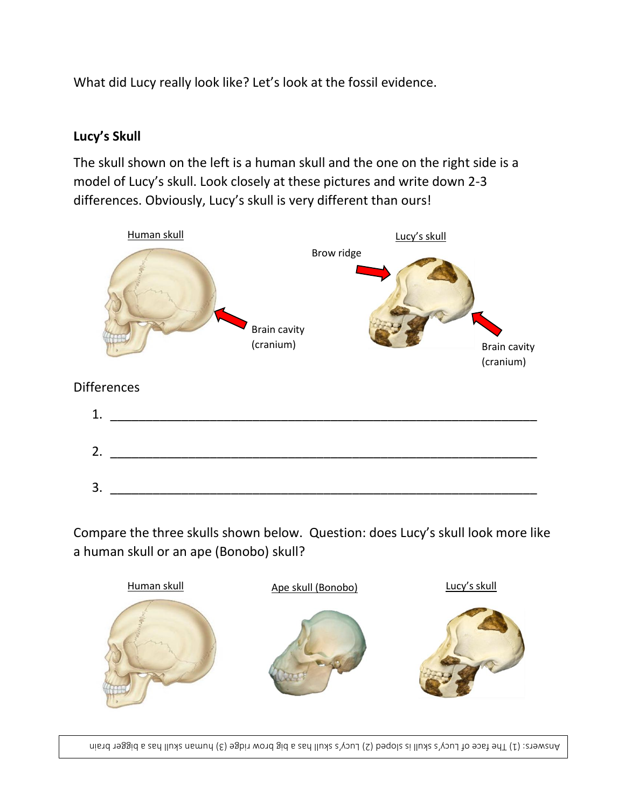What did Lucy really look like? Let's look at the fossil evidence.

# **Lucy's Skull**

The skull shown on the left is a human skull and the one on the right side is a model of Lucy's skull. Look closely at these pictures and write down 2-3 differences. Obviously, Lucy's skull is very different than ours!



Compare the three skulls shown below. Question: does Lucy's skull look more like a human skull or an ape (Bonobo) skull?



Answers: (1) The face of Lucy's skull is sloped (2) Lucy's skull has a big brow ridge (3) human skull has a bigger brain

cavity)<br>)<br>)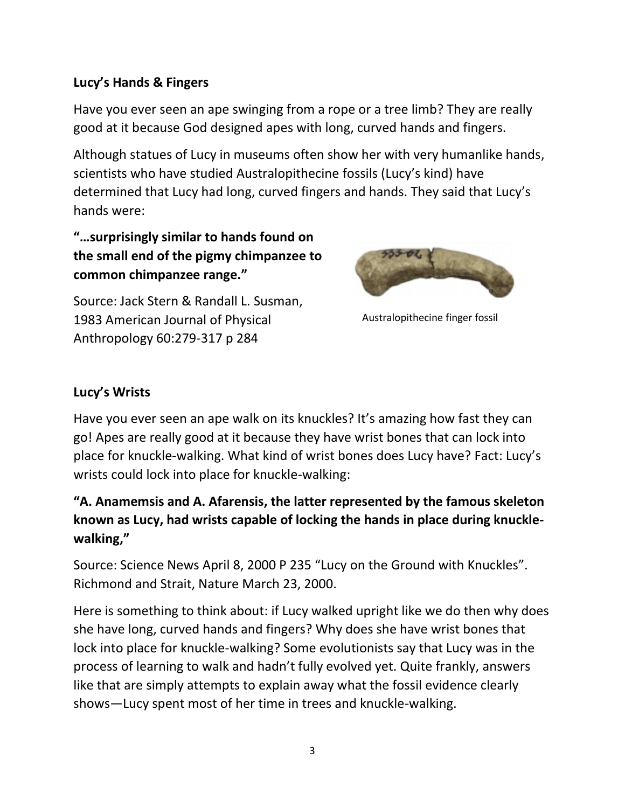### **Lucy's Hands & Fingers**

Have you ever seen an ape swinging from a rope or a tree limb? They are really good at it because God designed apes with long, curved hands and fingers.

Although statues of Lucy in museums often show her with very humanlike hands, scientists who have studied Australopithecine fossils (Lucy's kind) have determined that Lucy had long, curved fingers and hands. They said that Lucy's hands were:

**"…surprisingly similar to hands found on the small end of the pigmy chimpanzee to common chimpanzee range."**

Australopithecine finger fossil

Source: Jack Stern & Randall L. Susman, 1983 American Journal of Physical Anthropology 60:279-317 p 284

# **Lucy's Wrists**

Have you ever seen an ape walk on its knuckles? It's amazing how fast they can go! Apes are really good at it because they have wrist bones that can lock into place for knuckle-walking. What kind of wrist bones does Lucy have? Fact: Lucy's wrists could lock into place for knuckle-walking:

# **"A. Anamemsis and A. Afarensis, the latter represented by the famous skeleton known as Lucy, had wrists capable of locking the hands in place during knucklewalking,"**

Source: Science News April 8, 2000 P 235 "Lucy on the Ground with Knuckles". Richmond and Strait, Nature March 23, 2000.

Here is something to think about: if Lucy walked upright like we do then why does she have long, curved hands and fingers? Why does she have wrist bones that lock into place for knuckle-walking? Some evolutionists say that Lucy was in the process of learning to walk and hadn't fully evolved yet. Quite frankly, answers like that are simply attempts to explain away what the fossil evidence clearly shows—Lucy spent most of her time in trees and knuckle-walking.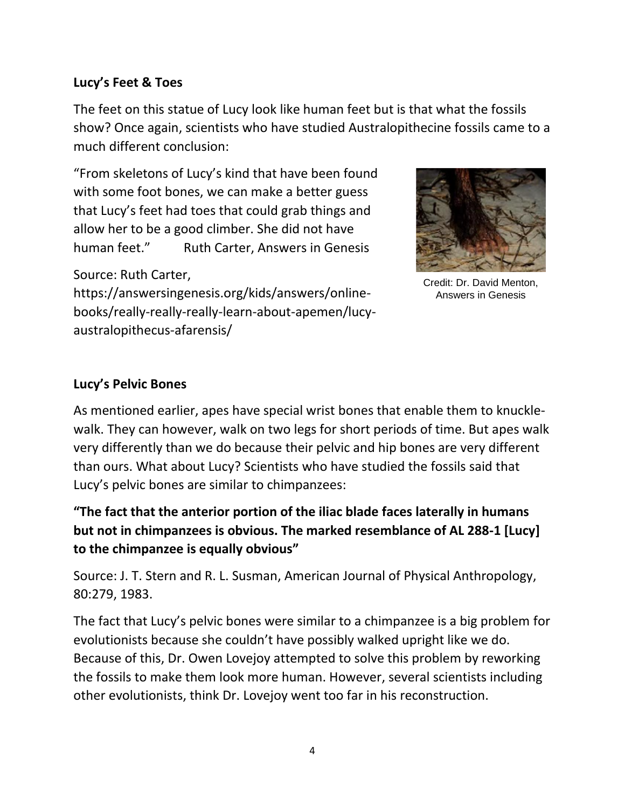### **Lucy's Feet & Toes**

The feet on this statue of Lucy look like human feet but is that what the fossils show? Once again, scientists who have studied Australopithecine fossils came to a much different conclusion:

"From skeletons of Lucy's kind that have been found with some foot bones, we can make a better guess that Lucy's feet had toes that could grab things and allow her to be a good climber. She did not have human feet." Ruth Carter, Answers in Genesis

### Source: Ruth Carter,

https://answersingenesis.org/kids/answers/onlinebooks/really-really-really-learn-about-apemen/lucyaustralopithecus-afarensis/



Credit: Dr. David Menton, Answers in Genesis

### **Lucy's Pelvic Bones**

As mentioned earlier, apes have special wrist bones that enable them to knucklewalk. They can however, walk on two legs for short periods of time. But apes walk very differently than we do because their pelvic and hip bones are very different than ours. What about Lucy? Scientists who have studied the fossils said that Lucy's pelvic bones are similar to chimpanzees:

# **"The fact that the anterior portion of the iliac blade faces laterally in humans but not in chimpanzees is obvious. The marked resemblance of AL 288-1 [Lucy] to the chimpanzee is equally obvious"**

Source: J. T. Stern and R. L. Susman, American Journal of Physical Anthropology, 80:279, 1983.

The fact that Lucy's pelvic bones were similar to a chimpanzee is a big problem for evolutionists because she couldn't have possibly walked upright like we do. Because of this, Dr. Owen Lovejoy attempted to solve this problem by reworking the fossils to make them look more human. However, several scientists including other evolutionists, think Dr. Lovejoy went too far in his reconstruction.